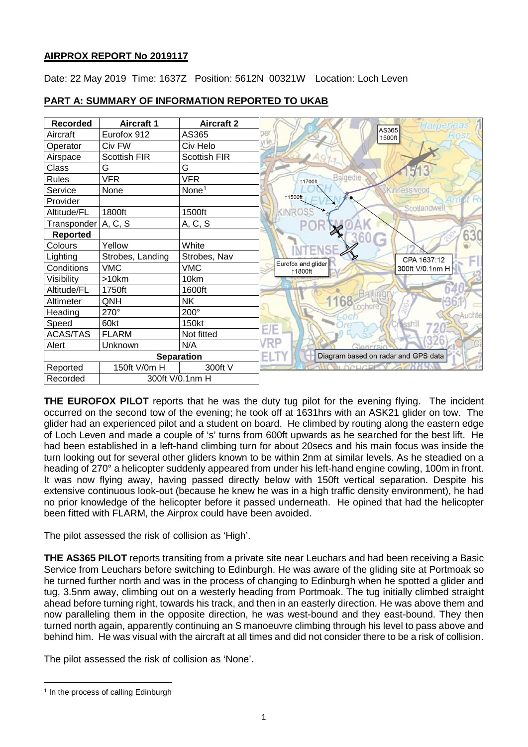## **AIRPROX REPORT No 2019117**

Date: 22 May 2019 Time: 1637Z Position: 5612N 00321W Location: Loch Leven



# **PART A: SUMMARY OF INFORMATION REPORTED TO UKAB**

**THE EUROFOX PILOT** reports that he was the duty tug pilot for the evening flying. The incident occurred on the second tow of the evening; he took off at 1631hrs with an ASK21 glider on tow. The glider had an experienced pilot and a student on board. He climbed by routing along the eastern edge of Loch Leven and made a couple of 's' turns from 600ft upwards as he searched for the best lift. He had been established in a left-hand climbing turn for about 20secs and his main focus was inside the turn looking out for several other gliders known to be within 2nm at similar levels. As he steadied on a heading of 270° a helicopter suddenly appeared from under his left-hand engine cowling, 100m in front. It was now flying away, having passed directly below with 150ft vertical separation. Despite his extensive continuous look-out (because he knew he was in a high traffic density environment), he had no prior knowledge of the helicopter before it passed underneath. He opined that had the helicopter been fitted with FLARM, the Airprox could have been avoided.

The pilot assessed the risk of collision as 'High'.

**THE AS365 PILOT** reports transiting from a private site near Leuchars and had been receiving a Basic Service from Leuchars before switching to Edinburgh. He was aware of the gliding site at Portmoak so he turned further north and was in the process of changing to Edinburgh when he spotted a glider and tug, 3.5nm away, climbing out on a westerly heading from Portmoak. The tug initially climbed straight ahead before turning right, towards his track, and then in an easterly direction. He was above them and now paralleling them in the opposite direction, he was west-bound and they east-bound. They then turned north again, apparently continuing an S manoeuvre climbing through his level to pass above and behind him. He was visual with the aircraft at all times and did not consider there to be a risk of collision.

The pilot assessed the risk of collision as 'None'.

<span id="page-0-0"></span>l <sup>1</sup> In the process of calling Edinburgh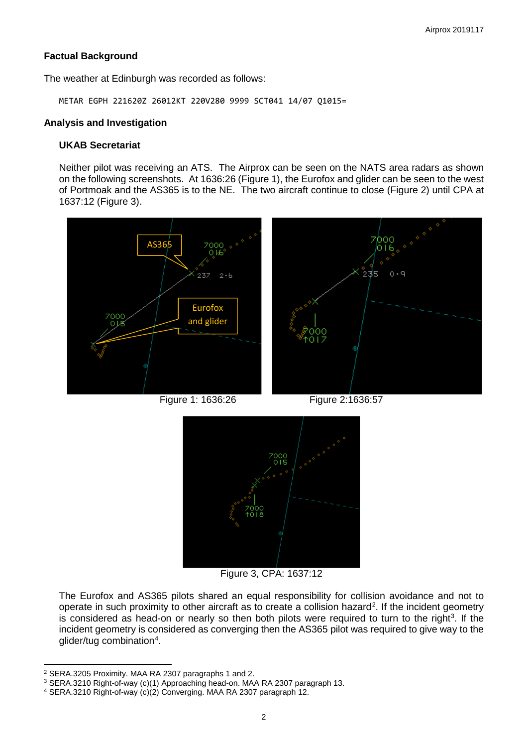#### **Factual Background**

The weather at Edinburgh was recorded as follows:

METAR EGPH 221620Z 26012KT 220V280 9999 SCT041 14/07 Q1015=

#### **Analysis and Investigation**

#### **UKAB Secretariat**

Neither pilot was receiving an ATS. The Airprox can be seen on the NATS area radars as shown on the following screenshots. At 1636:26 (Figure 1), the Eurofox and glider can be seen to the west of Portmoak and the AS365 is to the NE. The two aircraft continue to close (Figure 2) until CPA at 1637:12 (Figure 3).





Figure 3, CPA: 1637:12

The Eurofox and AS365 pilots shared an equal responsibility for collision avoidance and not to operate in such proximity to other aircraft as to create a collision hazard<sup>[2](#page-1-0)</sup>. If the incident geometry is considered as head-on or nearly so then both pilots were required to turn to the right<sup>[3](#page-1-1)</sup>. If the incident geometry is considered as converging then the AS365 pilot was required to give way to the glider/tug combination<sup>[4](#page-1-2)</sup>.

l <sup>2</sup> SERA.3205 Proximity. MAA RA 2307 paragraphs 1 and 2.

<span id="page-1-1"></span><span id="page-1-0"></span><sup>3</sup> SERA.3210 Right-of-way (c)(1) Approaching head-on. MAA RA 2307 paragraph 13.

<span id="page-1-2"></span><sup>4</sup> SERA.3210 Right-of-way (c)(2) Converging. MAA RA 2307 paragraph 12.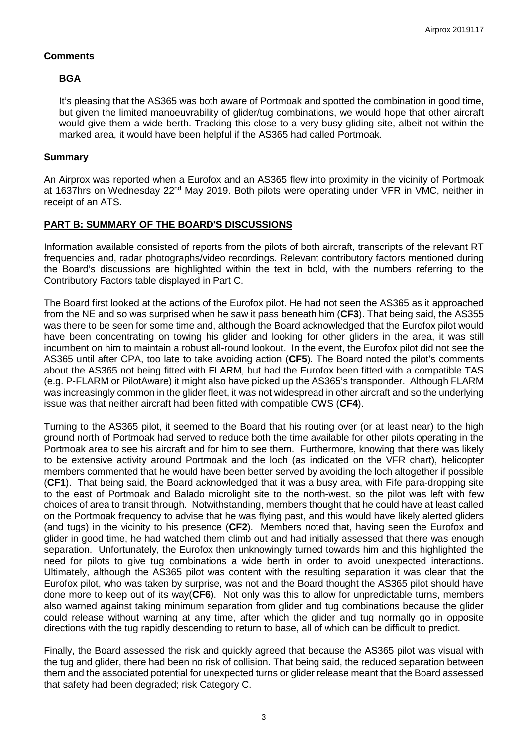#### **Comments**

## **BGA**

It's pleasing that the AS365 was both aware of Portmoak and spotted the combination in good time, but given the limited manoeuvrability of glider/tug combinations, we would hope that other aircraft would give them a wide berth. Tracking this close to a very busy gliding site, albeit not within the marked area, it would have been helpful if the AS365 had called Portmoak.

## **Summary**

An Airprox was reported when a Eurofox and an AS365 flew into proximity in the vicinity of Portmoak at 1637hrs on Wednesday 22<sup>nd</sup> May 2019. Both pilots were operating under VFR in VMC, neither in receipt of an ATS.

## **PART B: SUMMARY OF THE BOARD'S DISCUSSIONS**

Information available consisted of reports from the pilots of both aircraft, transcripts of the relevant RT frequencies and, radar photographs/video recordings. Relevant contributory factors mentioned during the Board's discussions are highlighted within the text in bold, with the numbers referring to the Contributory Factors table displayed in Part C.

The Board first looked at the actions of the Eurofox pilot. He had not seen the AS365 as it approached from the NE and so was surprised when he saw it pass beneath him (**CF3**). That being said, the AS355 was there to be seen for some time and, although the Board acknowledged that the Eurofox pilot would have been concentrating on towing his glider and looking for other gliders in the area, it was still incumbent on him to maintain a robust all-round lookout. In the event, the Eurofox pilot did not see the AS365 until after CPA, too late to take avoiding action (**CF5**). The Board noted the pilot's comments about the AS365 not being fitted with FLARM, but had the Eurofox been fitted with a compatible TAS (e.g. P-FLARM or PilotAware) it might also have picked up the AS365's transponder. Although FLARM was increasingly common in the glider fleet, it was not widespread in other aircraft and so the underlying issue was that neither aircraft had been fitted with compatible CWS (**CF4**).

Turning to the AS365 pilot, it seemed to the Board that his routing over (or at least near) to the high ground north of Portmoak had served to reduce both the time available for other pilots operating in the Portmoak area to see his aircraft and for him to see them. Furthermore, knowing that there was likely to be extensive activity around Portmoak and the loch (as indicated on the VFR chart), helicopter members commented that he would have been better served by avoiding the loch altogether if possible (**CF1**). That being said, the Board acknowledged that it was a busy area, with Fife para-dropping site to the east of Portmoak and Balado microlight site to the north-west, so the pilot was left with few choices of area to transit through. Notwithstanding, members thought that he could have at least called on the Portmoak frequency to advise that he was flying past, and this would have likely alerted gliders (and tugs) in the vicinity to his presence (**CF2**). Members noted that, having seen the Eurofox and glider in good time, he had watched them climb out and had initially assessed that there was enough separation. Unfortunately, the Eurofox then unknowingly turned towards him and this highlighted the need for pilots to give tug combinations a wide berth in order to avoid unexpected interactions. Ultimately, although the AS365 pilot was content with the resulting separation it was clear that the Eurofox pilot, who was taken by surprise, was not and the Board thought the AS365 pilot should have done more to keep out of its way(**CF6**). Not only was this to allow for unpredictable turns, members also warned against taking minimum separation from glider and tug combinations because the glider could release without warning at any time, after which the glider and tug normally go in opposite directions with the tug rapidly descending to return to base, all of which can be difficult to predict.

Finally, the Board assessed the risk and quickly agreed that because the AS365 pilot was visual with the tug and glider, there had been no risk of collision. That being said, the reduced separation between them and the associated potential for unexpected turns or glider release meant that the Board assessed that safety had been degraded; risk Category C.